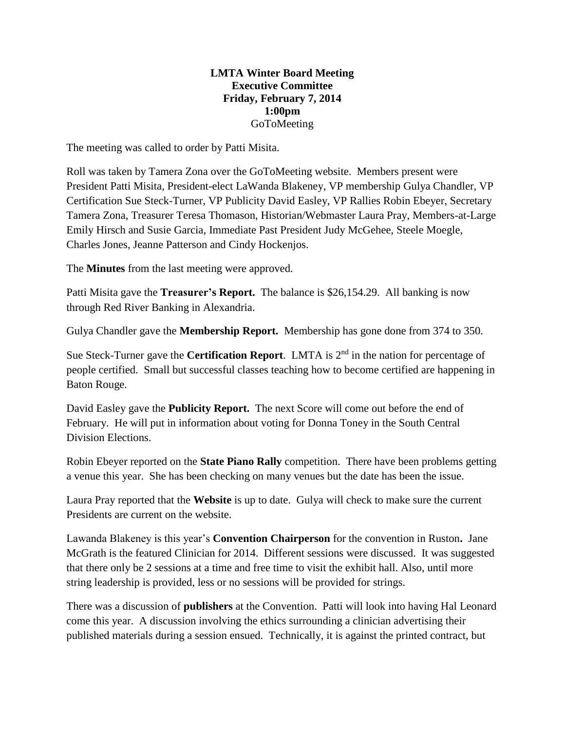## **LMTA Winter Board Meeting Executive Committee Friday, February 7, 2014 1:00pm**  GoToMeeting

The meeting was called to order by Patti Misita.

Roll was taken by Tamera Zona over the GoToMeeting website. Members present were President Patti Misita, President-elect LaWanda Blakeney, VP membership Gulya Chandler, VP Certification Sue Steck-Turner, VP Publicity David Easley, VP Rallies Robin Ebeyer, Secretary Tamera Zona, Treasurer Teresa Thomason, Historian/Webmaster Laura Pray, Members-at-Large Emily Hirsch and Susie Garcia, Immediate Past President Judy McGehee, Steele Moegle, Charles Jones, Jeanne Patterson and Cindy Hockenjos.

The **Minutes** from the last meeting were approved.

Patti Misita gave the **Treasurer's Report.** The balance is \$26,154.29. All banking is now through Red River Banking in Alexandria.

Gulya Chandler gave the **Membership Report.** Membership has gone done from 374 to 350.

Sue Steck-Turner gave the **Certification Report**. LMTA is 2<sup>nd</sup> in the nation for percentage of people certified. Small but successful classes teaching how to become certified are happening in Baton Rouge.

David Easley gave the **Publicity Report.** The next Score will come out before the end of February. He will put in information about voting for Donna Toney in the South Central Division Elections.

Robin Ebeyer reported on the **State Piano Rally** competition. There have been problems getting a venue this year. She has been checking on many venues but the date has been the issue.

Laura Pray reported that the **Website** is up to date. Gulya will check to make sure the current Presidents are current on the website.

Lawanda Blakeney is this year's **Convention Chairperson** for the convention in Ruston**.** Jane McGrath is the featured Clinician for 2014. Different sessions were discussed. It was suggested that there only be 2 sessions at a time and free time to visit the exhibit hall. Also, until more string leadership is provided, less or no sessions will be provided for strings.

There was a discussion of **publishers** at the Convention. Patti will look into having Hal Leonard come this year. A discussion involving the ethics surrounding a clinician advertising their published materials during a session ensued. Technically, it is against the printed contract, but